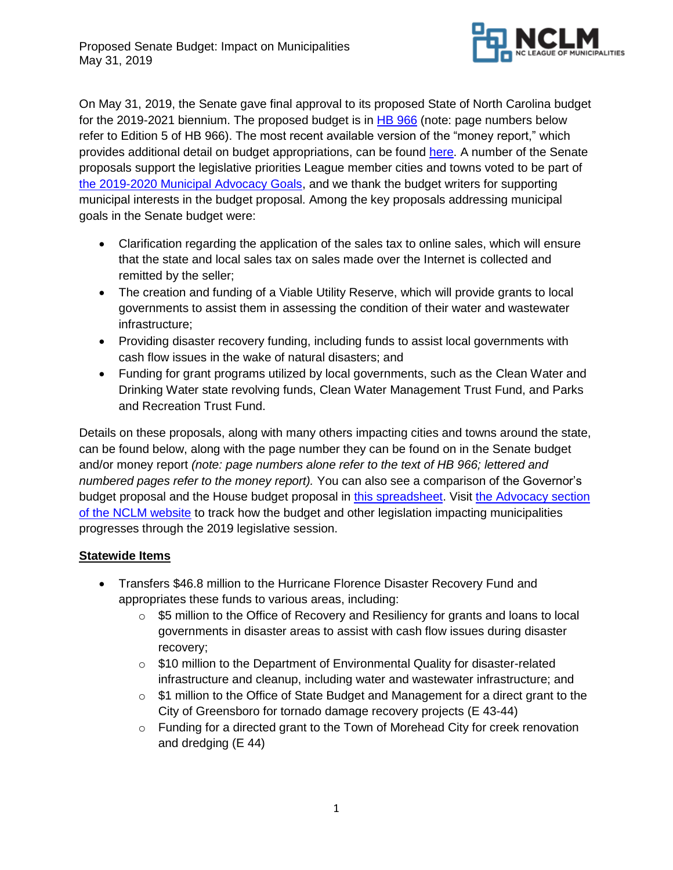

On May 31, 2019, the Senate gave final approval to its proposed State of North Carolina budget for the 2019-2021 biennium. The proposed budget is in [HB 966](https://www.ncleg.gov/BillLookUp/2019/h966) (note: page numbers below refer to Edition 5 of HB 966). The most recent available version of the "money report," which provides additional detail on budget appropriations, can be found [here.](https://www.ncleg.gov/Sessions/2019/Budget/2019/Committee_Report_Senate_Appropriation_Base_Budget_PCS_as_amended_May_29_2019.pdf) A number of the Senate proposals support the legislative priorities League member cities and towns voted to be part of [the 2019-2020 Municipal Advocacy Goals,](https://www.nclm.org/resourcelibrary/Shared%20Documents/GoalsWeb-Final.pdf) and we thank the budget writers for supporting municipal interests in the budget proposal. Among the key proposals addressing municipal goals in the Senate budget were:

- Clarification regarding the application of the sales tax to online sales, which will ensure that the state and local sales tax on sales made over the Internet is collected and remitted by the seller;
- The creation and funding of a Viable Utility Reserve, which will provide grants to local governments to assist them in assessing the condition of their water and wastewater infrastructure;
- Providing disaster recovery funding, including funds to assist local governments with cash flow issues in the wake of natural disasters; and
- Funding for grant programs utilized by local governments, such as the Clean Water and Drinking Water state revolving funds, Clean Water Management Trust Fund, and Parks and Recreation Trust Fund.

Details on these proposals, along with many others impacting cities and towns around the state, can be found below, along with the page number they can be found on in the Senate budget and/or money report *(note: page numbers alone refer to the text of HB 966; lettered and numbered pages refer to the money report).* You can also see a comparison of the Governor's budget proposal and the House budget proposal in [this spreadsheet.](https://www.nclm.org/resourcelibrary/Shared%20Documents/Salary%20Survey/Governor-House-Senate%20budget%20comparison%205-31-2019.xlsx) Visit [the Advocacy section](https://www.nclm.org/advocacy)  [of the NCLM website](https://www.nclm.org/advocacy) to track how the budget and other legislation impacting municipalities progresses through the 2019 legislative session.

# **Statewide Items**

- Transfers \$46.8 million to the Hurricane Florence Disaster Recovery Fund and appropriates these funds to various areas, including:
	- o \$5 million to the Office of Recovery and Resiliency for grants and loans to local governments in disaster areas to assist with cash flow issues during disaster recovery;
	- $\circ$  \$10 million to the Department of Environmental Quality for disaster-related infrastructure and cleanup, including water and wastewater infrastructure; and
	- $\circ$  \$1 million to the Office of State Budget and Management for a direct grant to the City of Greensboro for tornado damage recovery projects (E 43-44)
	- $\circ$  Funding for a directed grant to the Town of Morehead City for creek renovation and dredging (E 44)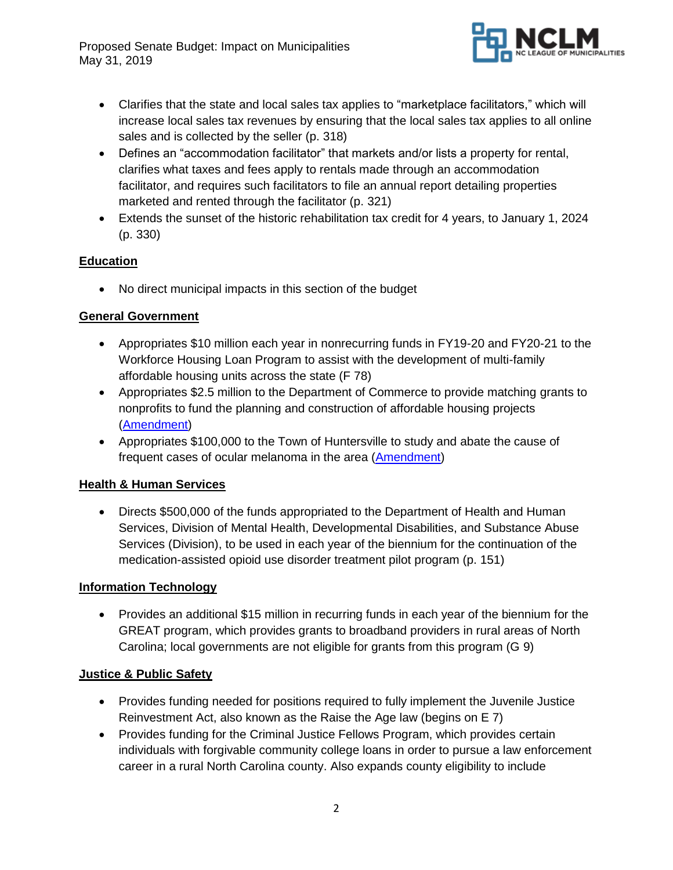

- Clarifies that the state and local sales tax applies to "marketplace facilitators," which will increase local sales tax revenues by ensuring that the local sales tax applies to all online sales and is collected by the seller (p. 318)
- Defines an "accommodation facilitator" that markets and/or lists a property for rental, clarifies what taxes and fees apply to rentals made through an accommodation facilitator, and requires such facilitators to file an annual report detailing properties marketed and rented through the facilitator (p. 321)
- Extends the sunset of the historic rehabilitation tax credit for 4 years, to January 1, 2024 (p. 330)

# **Education**

• No direct municipal impacts in this section of the budget

# **General Government**

- Appropriates \$10 million each year in nonrecurring funds in FY19-20 and FY20-21 to the Workforce Housing Loan Program to assist with the development of multi-family affordable housing units across the state (F 78)
- Appropriates \$2.5 million to the Department of Commerce to provide matching grants to nonprofits to fund the planning and construction of affordable housing projects [\(Amendment\)](https://webservices.ncleg.net/ViewBillDocument/2019/4727/0/H966-A-NBC-5850)
- Appropriates \$100,000 to the Town of Huntersville to study and abate the cause of frequent cases of ocular melanoma in the area [\(Amendment\)](https://webservices.ncleg.net/ViewBillDocument/2019/4727/0/H966-A-NBC-5850)

# **Health & Human Services**

• Directs \$500,000 of the funds appropriated to the Department of Health and Human Services, Division of Mental Health, Developmental Disabilities, and Substance Abuse Services (Division), to be used in each year of the biennium for the continuation of the medication-assisted opioid use disorder treatment pilot program (p. 151)

# **Information Technology**

• Provides an additional \$15 million in recurring funds in each year of the biennium for the GREAT program, which provides grants to broadband providers in rural areas of North Carolina; local governments are not eligible for grants from this program (G 9)

# **Justice & Public Safety**

- Provides funding needed for positions required to fully implement the Juvenile Justice Reinvestment Act, also known as the Raise the Age law (begins on E 7)
- Provides funding for the Criminal Justice Fellows Program, which provides certain individuals with forgivable community college loans in order to pursue a law enforcement career in a rural North Carolina county. Also expands county eligibility to include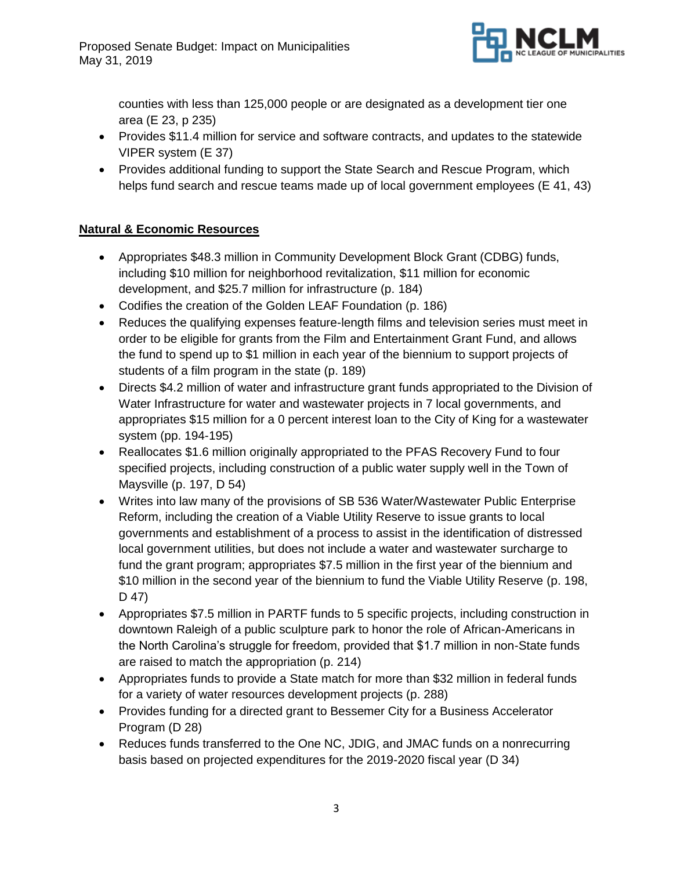

counties with less than 125,000 people or are designated as a development tier one area (E 23, p 235)

- Provides \$11.4 million for service and software contracts, and updates to the statewide VIPER system (E 37)
- Provides additional funding to support the State Search and Rescue Program, which helps fund search and rescue teams made up of local government employees (E 41, 43)

# **Natural & Economic Resources**

- Appropriates \$48.3 million in Community Development Block Grant (CDBG) funds, including \$10 million for neighborhood revitalization, \$11 million for economic development, and \$25.7 million for infrastructure (p. 184)
- Codifies the creation of the Golden LEAF Foundation (p. 186)
- Reduces the qualifying expenses feature-length films and television series must meet in order to be eligible for grants from the Film and Entertainment Grant Fund, and allows the fund to spend up to \$1 million in each year of the biennium to support projects of students of a film program in the state (p. 189)
- Directs \$4.2 million of water and infrastructure grant funds appropriated to the Division of Water Infrastructure for water and wastewater projects in 7 local governments, and appropriates \$15 million for a 0 percent interest loan to the City of King for a wastewater system (pp. 194-195)
- Reallocates \$1.6 million originally appropriated to the PFAS Recovery Fund to four specified projects, including construction of a public water supply well in the Town of Maysville (p. 197, D 54)
- Writes into law many of the provisions of SB 536 Water/Wastewater Public Enterprise Reform, including the creation of a Viable Utility Reserve to issue grants to local governments and establishment of a process to assist in the identification of distressed local government utilities, but does not include a water and wastewater surcharge to fund the grant program; appropriates \$7.5 million in the first year of the biennium and \$10 million in the second year of the biennium to fund the Viable Utility Reserve (p. 198, D 47)
- Appropriates \$7.5 million in PARTF funds to 5 specific projects, including construction in downtown Raleigh of a public sculpture park to honor the role of African-Americans in the North Carolina's struggle for freedom, provided that \$1.7 million in non-State funds are raised to match the appropriation (p. 214)
- Appropriates funds to provide a State match for more than \$32 million in federal funds for a variety of water resources development projects (p. 288)
- Provides funding for a directed grant to Bessemer City for a Business Accelerator Program (D 28)
- Reduces funds transferred to the One NC, JDIG, and JMAC funds on a nonrecurring basis based on projected expenditures for the 2019-2020 fiscal year (D 34)